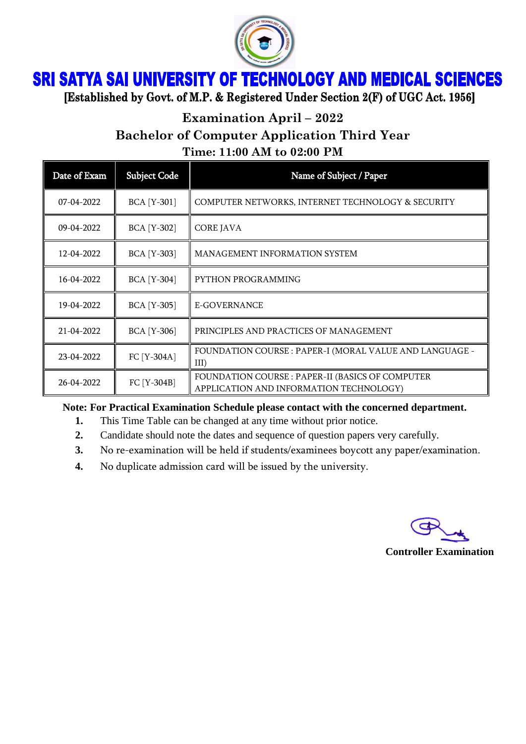

## **SRI SATYA SAI UNIVERSITY OF TECHNOLOGY AND MEDICAL SCIENCES**

[Established by Govt. of M.P. & Registered Under Section 2(F) of UGC Act. 1956]

**Examination April – 2022**

**Bachelor of Computer Application Third Year**

**Time: 11:00 AM to 02:00 PM**

| Date of Exam     | <b>Subject Code</b> | Name of Subject / Paper                                                                     |
|------------------|---------------------|---------------------------------------------------------------------------------------------|
| 07-04-2022       | <b>BCA</b> [Y-301]  | COMPUTER NETWORKS, INTERNET TECHNOLOGY & SECURITY                                           |
| 09-04-2022       | <b>BCA</b> [Y-302]  | <b>CORE JAVA</b>                                                                            |
| 12-04-2022       | <b>BCA</b> [Y-303]  | <b>MANAGEMENT INFORMATION SYSTEM</b>                                                        |
| 16-04-2022       | <b>BCA</b> [Y-304]  | PYTHON PROGRAMMING                                                                          |
| 19-04-2022       | <b>BCA [Y-305]</b>  | E-GOVERNANCE                                                                                |
| $21 - 04 - 2022$ | <b>BCA</b> [Y-306]  | PRINCIPLES AND PRACTICES OF MANAGEMENT                                                      |
| 23-04-2022       | FC [Y-304A]         | FOUNDATION COURSE : PAPER-I (MORAL VALUE AND LANGUAGE -<br>$III$ )                          |
| 26-04-2022       | FC [Y-304B]         | FOUNDATION COURSE : PAPER-II (BASICS OF COMPUTER<br>APPLICATION AND INFORMATION TECHNOLOGY) |

## **Note: For Practical Examination Schedule please contact with the concerned department.**

- **1.** This Time Table can be changed at any time without prior notice.
- **2.** Candidate should note the dates and sequence of question papers very carefully.
- **3.** No re-examination will be held if students/examinees boycott any paper/examination.
- **4.** No duplicate admission card will be issued by the university.



**Controller Examination**